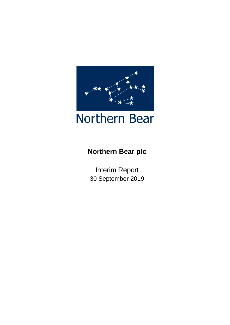

# **Northern Bear plc**

Interim Report 30 September 2019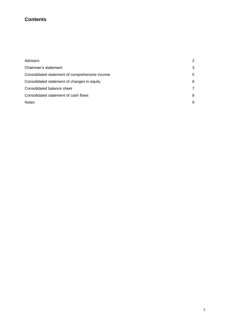# **Contents**

| 2 |
|---|
| 3 |
| 5 |
| 6 |
|   |
| 8 |
| 9 |
|   |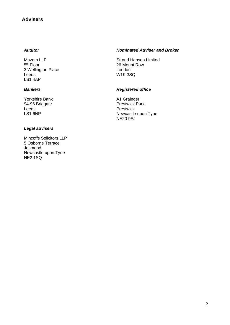# **Advisers**

### *Auditor*

Mazars LLP 5<sup>th</sup> Floor 3 Wellington Place Leeds LS1 4AP

### *Bankers*

Yorkshire Bank 94-96 Briggate Leeds LS1 6NP

### *Legal advisers*

Mincoffs Solicitors LLP 5 Osborne Terrace Jesmond Newcastle upon Tyne NE2 1SQ

### *Nominated Adviser and Broker*

Strand Hanson Limited 26 Mount Row London W1K 3SQ

### *Registered office*

A1 Grainger Prestwick Park Prestwick Newcastle upon Tyne NE20 9SJ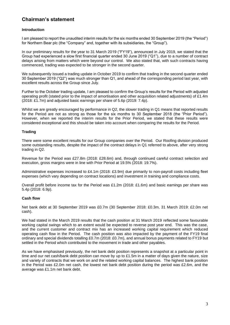# **Chairman's statement**

### **Introduction**

I am pleased to report the unaudited interim results for the six months ended 30 September 2019 (the "Period") for Northern Bear plc (the "Company" and, together with its subsidiaries, the "Group").

In our preliminary results for the year to 31 March 2019 ("FY19"), announced in July 2019, we stated that the Group had experienced a slow first financial quarter ended 30 June 2019 ("Q1"), due to a number of contract delays arising from matters which were beyond our control. We also stated that, with such contracts having commenced, trading was expected to be stronger in the second quarter.

We subsequently issued a trading update in October 2019 to confirm that trading in the second quarter ended 30 September 2019 ("Q2") was much stronger than Q1, and ahead of the corresponding period last year, with excellent results across the Group since July.

Further to the October trading update, I am pleased to confirm the Group's results for the Period with adjusted operating profit (stated prior to the impact of amortisation and other acquisition related adjustments) of £1.4m (2018: £1.7m) and adjusted basic earnings per share of 5.6p (2019: 7.4p).

Whilst we are greatly encouraged by performance in Q2, the slower trading in Q1 means that reported results for the Period are not as strong as those for the six months to 30 September 2018 (the "Prior Period"). However, when we reported the interim results for the Prior Period, we stated that these results were considered exceptional and this should be taken into account when comparing the results for the Period.

### **Trading**

There were some excellent results for our Group companies over the Period. Our Roofing division produced some outstanding results, despite the impact of the contract delays in Q1 referred to above, after very strong trading in Q2.

Revenue for the Period was £27.8m (2018: £28.6m) and, through continued careful contract selection and execution, gross margins were in line with Prior Period at 19.5% (2018: 19.7%).

Administrative expenses increased to £4.1m (2018: £3.9m) due primarily to non-payroll costs including fleet expenses (which vary depending on contract locations) and investment in training and compliance costs.

Overall profit before income tax for the Period was £1.2m (2018: £1.6m) and basic earnings per share was 5.4p (2018: 6.9p).

### **Cash flow**

Net bank debt at 30 September 2019 was £0.7m (30 September 2018: £0.3m, 31 March 2019: £2.0m net cash).

We had stated in the March 2019 results that the cash position at 31 March 2019 reflected some favourable working capital swings which to an extent would be expected to reverse post year end. This was the case, and the current customer and contract mix has an increased working capital requirement which reduced operating cash flow in the Period. The cash position was also impacted by the payment of the FY19 final ordinary and special dividends totalling £0.7m (2018: £0.7m), and annual bonus payments related to FY19 but settled in the Period which contributed to the movement in trade and other payables.

As we have emphasised previously, the net bank debt position represents a snapshot at a particular point in time and our net cash/bank debt position can move by up to £1.5m in a matter of days given the nature, size and variety of contracts that we work on and the related working capital balances. The highest bank position in the Period was £2.0m net cash, the lowest net bank debt position during the period was £2.6m, and the average was £1.1m net bank debt.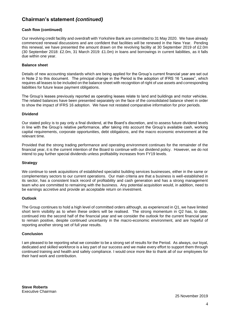# **Chairman's statement** *(continued)*

### **Cash flow (continued)**

Our revolving credit facility and overdraft with Yorkshire Bank are committed to 31 May 2020. We have already commenced renewal discussions and are confident that facilities will be renewed in the New Year. Pending this renewal, we have presented the amount drawn on the revolving facility at 30 September 2019 of £2.0m (30 September 2018: £2.0m, 31 March 2019: £1.0m) in loans and borrowings in current liabilities, as it falls due within one year.

### **Balance sheet**

Details of new accounting standards which are being applied for the Group's current financial year are set out in Note 2 to this document. The principal change in the Period is the adoption of IFRS 16 "Leases", which requires all leases to be included on the balance sheet with recognition of right of use assets and corresponding liabilities for future lease payment obligations.

The Group's leases previously reported as operating leases relate to land and buildings and motor vehicles. The related balances have been presented separately on the face of the consolidated balance sheet in order to show the impact of IFRS 16 adoption. We have not restated comparative information for prior periods.

#### **Dividend**

Our stated policy is to pay only a final dividend, at the Board's discretion, and to assess future dividend levels in line with the Group's relative performance, after taking into account the Group's available cash, working capital requirements, corporate opportunities, debt obligations, and the macro economic environment at the relevant time.

Provided that the strong trading performance and operating environment continues for the remainder of the financial year, it is the current intention of the Board to continue with our dividend policy. However, we do not intend to pay further special dividends unless profitability increases from FY19 levels.

#### **Strategy**

We continue to seek acquisitions of established specialist building services businesses, either in the same or complementary sectors to our current operations. Our main criteria are that a business is well-established in its sector, has a consistent track record of profitability and cash generation and has a strong management team who are committed to remaining with the business. Any potential acquisition would, in addition, need to be earnings accretive and provide an acceptable return on investment.

#### **Outlook**

The Group continues to hold a high level of committed orders although, as experienced in Q1, we have limited short term visibility as to when these orders will be realised. The strong momentum in Q2 has, to date, continued into the second half of the financial year and we consider the outlook for the current financial year to remain positive, despite continued uncertainty in the macro-economic environment, and are hopeful of reporting another strong set of full year results.

#### **Conclusion**

I am pleased to be reporting what we consider to be a strong set of results for the Period. As always, our loyal, dedicated and skilled workforce is a key part of our success and we make every effort to support them through continued training and health and safety compliance. I would once more like to thank all of our employees for their hard work and contribution.

**Steve Roberts** Executive Chairman

25 November 2019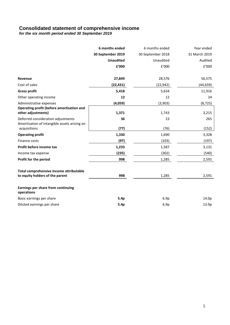# **Consolidated statement of comprehensive income**

*for the six month period ended 30 September 2019*

|                                                                                    | 6 months ended    | 6 months ended    | Year ended    |
|------------------------------------------------------------------------------------|-------------------|-------------------|---------------|
|                                                                                    | 30 September 2019 | 30 September 2018 | 31 March 2019 |
|                                                                                    | <b>Unaudited</b>  | Unaudited         | Audited       |
|                                                                                    | £'000             | £'000             | £'000         |
| Revenue                                                                            | 27,849            | 28,576            | 56,575        |
| Cost of sales                                                                      | (22, 431)         | (22, 942)         | (44, 659)     |
| <b>Gross profit</b>                                                                | 5,418             | 5,634             | 11,916        |
| Other operating income                                                             | 12                | 12                | 24            |
| Administrative expenses                                                            | (4,059)           | (3,903)           | (8, 725)      |
| Operating profit (before amortisation and<br>other adjustments)                    | 1,371             | 1,743             | 3,215         |
| Deferred consideration adjustments<br>Amortisation of intangible assets arising on | 36                | 23                | 265           |
| acquisitions                                                                       | (77)              | (76)              | (152)         |
| <b>Operating profit</b>                                                            | 1,330             | 1,690             | 3,328         |
| Finance costs                                                                      | (97)              | (103)             | (197)         |
| Profit before income tax                                                           | 1,233             | 1,587             | 3,131         |
| Income tax expense                                                                 | (235)             | (302)             | (540)         |
| Profit for the period                                                              | 998               | 1,285             | 2,591         |
| Total comprehensive income attributable<br>to equity holders of the parent         | 998               | 1,285             | 2,591         |
| Earnings per share from continuing                                                 |                   |                   |               |
| operations                                                                         |                   |                   |               |
| Basic earnings per share                                                           | 5.4p              | 6.9p              | 14.0p         |
| Diluted earnings per share                                                         | 5.4p              | 6.9p              | 13.9p         |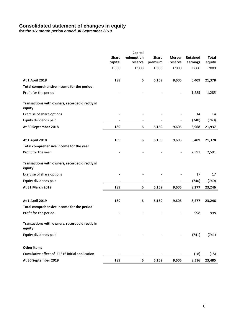# **Consolidated statement of changes in equity**

*for the six month period ended 30 September 2019*

|                                                          |                              | Capital                  |                          |                          |          |              |
|----------------------------------------------------------|------------------------------|--------------------------|--------------------------|--------------------------|----------|--------------|
|                                                          | <b>Share</b>                 | redemption               | <b>Share</b>             | <b>Merger</b>            | Retained | <b>Total</b> |
|                                                          | capital                      | reserve                  | premium                  | reserve                  | earnings | equity       |
|                                                          | £'000                        | £'000                    | £'000                    | £'000                    | £'000    | £'000        |
| <b>At 1 April 2018</b>                                   | 189                          | 6                        | 5,169                    | 9,605                    | 6,409    | 21,378       |
| Total comprehensive income for the period                |                              |                          |                          |                          |          |              |
| Profit for the period                                    |                              |                          |                          |                          | 1,285    | 1,285        |
| Transactions with owners, recorded directly in<br>equity |                              |                          |                          |                          |          |              |
| Exercise of share options                                |                              |                          |                          |                          | 14       | 14           |
| Equity dividends paid                                    | $\qquad \qquad \blacksquare$ | $\overline{\phantom{a}}$ | $\overline{\phantom{a}}$ | $\overline{\phantom{0}}$ | (740)    | (740)        |
| At 30 September 2018                                     | 189                          | 6                        | 5,169                    | 9,605                    | 6,968    | 21,937       |
| <b>At 1 April 2018</b>                                   | 189                          | 6                        | 5,159                    | 9,605                    | 6,409    | 21,378       |
| Total comprehensive income for the year                  |                              |                          |                          |                          |          |              |
| Profit for the year                                      |                              |                          |                          |                          | 2,591    | 2,591        |
|                                                          |                              |                          |                          |                          |          |              |
| Transactions with owners, recorded directly in<br>equity |                              |                          |                          |                          |          |              |
| Exercise of share options                                |                              |                          |                          |                          | 17       | 17           |
| Equity dividends paid                                    |                              |                          |                          |                          | (740)    | (740)        |
| At 31 March 2019                                         | 189                          | 6                        | 5,169                    | 9,605                    | 8,277    | 23,246       |
| <b>At 1 April 2019</b>                                   | 189                          | 6                        | 5,169                    | 9,605                    | 8,277    | 23,246       |
| Total comprehensive income for the period                |                              |                          |                          |                          |          |              |
| Profit for the period                                    |                              |                          |                          |                          | 998      | 998          |
| Transactions with owners, recorded directly in<br>equity |                              |                          |                          |                          |          |              |
| Equity dividends paid                                    |                              |                          |                          |                          | (741)    | (741)        |
| <b>Other items</b>                                       |                              |                          |                          |                          |          |              |
| Cumulative effect of IFRS16 initial application          |                              | $\overline{\phantom{a}}$ |                          |                          | (18)     | (18)         |
| At 30 September 2019                                     | 189                          | 6                        | 5,169                    | 9,605                    | 8,516    | 23,485       |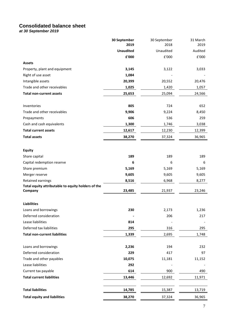# **Consolidated balance sheet**

*at 30 September 2019*

|                                                    | 30 September     | 30 September            | 31 March |
|----------------------------------------------------|------------------|-------------------------|----------|
|                                                    | 2019             | 2018                    | 2019     |
|                                                    | <b>Unaudited</b> | Unaudited               | Audited  |
|                                                    | £'000            | $\pmb{\mathsf{E}}$ '000 | £'000    |
| <b>Assets</b>                                      |                  |                         |          |
| Property, plant and equipment                      | 3,145            | 3,122                   | 3,033    |
| Right of use asset                                 | 1,084            |                         |          |
| Intangible assets                                  | 20,399           | 20,552                  | 20,476   |
| Trade and other receivables                        | 1,025            | 1,420                   | 1,057    |
| <b>Total non-current assets</b>                    | 25,653           | 25,094                  | 24,566   |
|                                                    |                  |                         |          |
| Inventories                                        | 805              | 724                     | 652      |
| Trade and other receivables                        | 9,906            | 9,224                   | 8,450    |
| Prepayments                                        | 606              | 536                     | 259      |
| Cash and cash equivalents                          | 1,300            | 1,746                   | 3,038    |
| <b>Total current assets</b>                        | 12,617           | 12,230                  | 12,399   |
| <b>Total assets</b>                                | 38,270           | 37,324                  | 36,965   |
|                                                    |                  |                         |          |
| <b>Equity</b>                                      |                  |                         |          |
| Share capital                                      | 189              | 189                     | 189      |
| Capital redemption reserve                         | 6                | 6                       | 6        |
| Share premium                                      | 5,169            | 5,169                   | 5,169    |
| Merger reserve                                     | 9,605            | 9,605                   | 9,605    |
| Retained earnings                                  | 8,516            | 6,968                   | 8,277    |
| Total equity attributable to equity holders of the |                  |                         |          |
| Company                                            | 23,485           | 21,937                  | 23,246   |
|                                                    |                  |                         |          |
| <b>Liabilities</b>                                 |                  |                         |          |
| Loans and borrowings                               | 230              | 2,173                   | 1,236    |
| Deferred consideration                             |                  | 206                     | 217      |
| Lease liabilities                                  | 814              |                         |          |
| Deferred tax liabilities                           | 295              | 316                     | 295      |
| <b>Total non-current liabilities</b>               | 1,339            | 2,695                   | 1,748    |
|                                                    |                  |                         |          |
| Loans and borrowings                               | 2,236            | 194                     | 232      |
| Deferred consideration                             | 229              | 417                     | 97       |
| Trade and other payables                           | 10,075           | 11,181                  | 11,152   |
| Lease liabilities                                  | 292              |                         |          |
| Current tax payable                                | 614              | 900                     | 490      |
| <b>Total current liabilities</b>                   | 13,446           | 12,692                  | 11,971   |
|                                                    |                  |                         |          |
| <b>Total liabilities</b>                           | 14,785           | 15,387                  | 13,719   |
| <b>Total equity and liabilities</b>                | 38,270           | 37,324                  | 36,965   |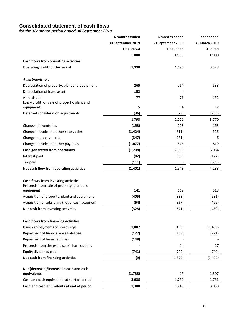# **Consolidated statement of cash flows**

*for the six month period ended 30 September 2019*

|                                                                                   | 6 months ended    | 6 months ended    | Year ended     |
|-----------------------------------------------------------------------------------|-------------------|-------------------|----------------|
|                                                                                   | 30 September 2019 | 30 September 2018 | 31 March 2019  |
|                                                                                   | <b>Unaudited</b>  | Unaudited         | Audited        |
|                                                                                   | £'000             | £'000             | £'000          |
| Cash flows from operating activities                                              |                   |                   |                |
| Operating profit for the period                                                   | 1,330             | 1,690             | 3,328          |
| Adjustments for:                                                                  |                   |                   |                |
| Depreciation of property, plant and equipment                                     | 265               | 264               | 538            |
| Depreciation of lease asset                                                       | 152               |                   |                |
| Amortisation<br>Loss/(profit) on sale of property, plant and                      | 77                | 76                | 152            |
| equipment                                                                         | 5                 | 14                | 17             |
| Deferred consideration adjustments                                                | (36)              | (23)              | (265)          |
|                                                                                   | 1,793             | 2,021             | 3,770          |
| Change in inventories                                                             | (153)             | 228               | 163            |
| Change in trade and other receivables                                             | (1, 424)          | (811)             | 326            |
| Change in prepayments                                                             | (347)             | (271)             | 6              |
| Change in trade and other payables                                                | (1,077)           | 846               | 819            |
| Cash generated from operations                                                    | (1, 208)<br>(82)  | 2,013<br>(65)     | 5,084          |
| Interest paid<br>Tax paid                                                         | (111)             |                   | (127)<br>(669) |
| Net cash flow from operating activities                                           | (1, 401)          | 1,948             | 4,288          |
|                                                                                   |                   |                   |                |
| Cash flows from investing activities<br>Proceeds from sale of property, plant and |                   |                   |                |
| equipment                                                                         | 141               | 119               | 518            |
| Acquisition of property, plant and equipment                                      | (405)             | (333)             | (581)          |
| Acquisition of subsidiary (net of cash acquired)                                  | (64)              | (327)             | (426)          |
| Net cash from investing activities                                                | (328)             | (541)             | (489)          |
| Cash flows from financing activities                                              |                   |                   |                |
| Issue / (repayment) of borrowings                                                 | 1,007             | (498)             | (1, 498)       |
| Repayment of finance lease liabilities                                            | (127)             | (168)             | (271)          |
| Repayment of lease liabilities                                                    | (148)             |                   |                |
| Proceeds from the exercise of share options                                       |                   | 14                | 17             |
| Equity dividends paid                                                             | (741)             | (740)             | (740)          |
| Net cash from financing activities                                                | (9)               | (1, 392)          | (2, 492)       |
| Net (decrease)/increase in cash and cash                                          |                   |                   |                |
| equivalents                                                                       | (1,738)           | 15                | 1,307          |
| Cash and cash equivalents at start of period                                      | 3,038             | 1,731             | 1,731          |
| Cash and cash equivalents at end of period                                        | 1,300             | 1,746             | 3,038          |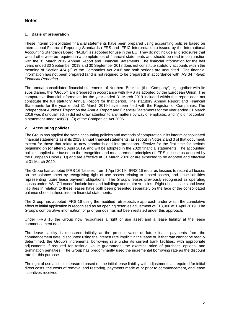# **Notes**

### **1. Basis of preparation**

These interim consolidated financial statements have been prepared using accounting policies based on International Financial Reporting Standards (IFRS and IFRIC Interpretations) issued by the International Accounting Standards Board ("IASB") as adopted for use in the EU. They do not include all disclosures that would otherwise be required in a complete set of financial statements and should be read in conjunction with the 31 March 2019 Annual Report and Financial Statements. The financial information for the half years ended 30 September 2019 and 30 September 2018 does not constitute statutory accounts within the meaning of Section 434 (3) of the Companies Act 2006 and both periods are unaudited. The financial information has not been prepared (and is not required to be prepared) in accordance with IAS 34 *Interim Financial Reporting*.

The annual consolidated financial statements of Northern Bear plc (the "Company", or, together with its subsidiaries, the "Group") are prepared in accordance with IFRS as adopted by the European Union. The comparative financial information for the year ended 31 March 2019 included within this report does not constitute the full statutory Annual Report for that period. The statutory Annual Report and Financial Statements for the year ended 31 March 2019 have been filed with the Registrar of Companies. The Independent Auditors' Report on the Annual Report and Financial Statements for the year ended 31 March 2019 was i) unqualified, ii) did not draw attention to any matters by way of emphasis, and iii) did not contain a statement under 498(2) - (3) of the Companies Act 2006.

### **2. Accounting policies**

The Group has applied the same accounting policies and methods of computation in its interim consolidated financial statements as in its 2019 annual financial statements, as set out in Notes 2 and 3 of that document, except for those that relate to new standards and interpretations effective for the first time for periods beginning on (or after) 1 April 2019, and will be adopted in the 2020 financial statements. The accounting policies applied are based on the recognition and measurement principles of IFRS in issue as adopted by the European Union (EU) and are effective at 31 March 2020 or are expected to be adopted and effective at 31 March 2020.

The Group has adopted IFRS 16 'Leases' from 1 April 2019. IFRS 16 requires lessees to record all leases on the balance sheet by recognising right of use assets relating to leased assets, and lease liabilities representing future lease payment obligations. The Group's leases previously recognised as operating leases under IAS 17 'Leases' include land and buildings and motor vehicles. Right of use assets and lease liabilities in relation to these leases have both been presented separately on the face of the consolidated balance sheet in these interim financial statements.

The Group has adopted IFRS 16 using the modified retrospective approach under which the cumulative effect of initial application is recognised as an opening reserves adjustment of £18,000 at 1 April 2019. The Group's comparative information for prior periods has not been restated under this approach.

Under IFRS 16 the Group now recognises a right of use asset and a lease liability at the lease commencement date.

The lease liability is measured initially at the present value of future lease payments from the commencement date, discounted using the interest rate implicit in the lease or, if that rate cannot be readily determined, the Group's incremental borrowing rate under its current bank facilities, with appropriate adjustments if required for residual value guarantees, the exercise price of purchase options, and termination penalties. The Group has predominantly used the incremental borrowing rate as the discount rate for this purpose.

The right of use asset is measured based on the initial lease liability with adjustments as required for initial direct costs, the costs of removal and restoring, payments made at or prior to commencement, and lease incentives received.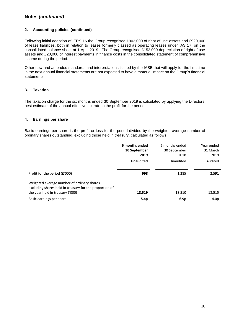# **Notes** *(continued)*

### **2. Accounting policies (continued)**

Following initial adoption of IFRS 16 the Group recognised £902,000 of right of use assets and £920,000 of lease liabilities, both in relation to leases formerly classed as operating leases under IAS 17, on the consolidated balance sheet at 1 April 2019. The Group recognised £152,000 depreciation of right of use assets and £20,000 of interest payments in finance costs in the consolidated statement of comprehensive income during the period.

Other new and amended standards and interpretations issued by the IASB that will apply for the first time in the next annual financial statements are not expected to have a material impact on the Group's financial statements.

### **3. Taxation**

The taxation charge for the six months ended 30 September 2019 is calculated by applying the Directors' best estimate of the annual effective tax rate to the profit for the period.

### **4. Earnings per share**

Basic earnings per share is the profit or loss for the period divided by the weighted average number of ordinary shares outstanding, excluding those held in treasury, calculated as follows:

|                                                                                                                                           | 6 months ended<br>30 September<br>2019 | 6 months ended<br>30 September<br>2018 | Year ended<br>31 March<br>2019 |
|-------------------------------------------------------------------------------------------------------------------------------------------|----------------------------------------|----------------------------------------|--------------------------------|
|                                                                                                                                           | <b>Unaudited</b>                       | Unaudited                              | Audited                        |
| Profit for the period (£'000)                                                                                                             | 998                                    | 1,285                                  | 2,591                          |
| Weighted average number of ordinary shares<br>excluding shares held in treasury for the proportion of<br>the year held in treasury ('000) | 18,519                                 | 18,510                                 | 18,515                         |
|                                                                                                                                           |                                        |                                        |                                |
| Basic earnings per share                                                                                                                  | 5.4p                                   | 6.9p                                   | 14.0 <sub>p</sub>              |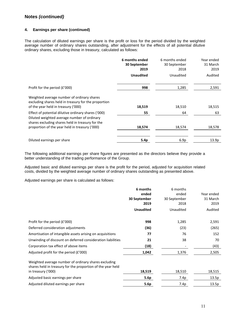# **Notes** *(continued)*

### **4. Earnings per share (continued)**

The calculation of diluted earnings per share is the profit or loss for the period divided by the weighted average number of ordinary shares outstanding, after adjustment for the effects of all potential dilutive ordinary shares, excluding those in treasury, calculated as follows:

|                                                                                                                                                        | 6 months ended<br>30 September<br>2019 | 6 months ended<br>30 September<br>2018 | Year ended<br>31 March<br>2019 |
|--------------------------------------------------------------------------------------------------------------------------------------------------------|----------------------------------------|----------------------------------------|--------------------------------|
|                                                                                                                                                        | <b>Unaudited</b>                       | Unaudited                              | Audited                        |
| Profit for the period (£'000)                                                                                                                          | 998                                    | 1,285                                  | 2,591                          |
| Weighted average number of ordinary shares<br>excluding shares held in treasury for the proportion<br>of the year held in treasury ('000)              | 18,519                                 | 18,510                                 | 18,515                         |
| Effect of potential dilutive ordinary shares ('000)<br>Diluted weighted average number of ordinary<br>shares excluding shares held in treasury for the | 55                                     | 64                                     | 63                             |
| proportion of the year held in treasury ('000)                                                                                                         | 18,574                                 | 18,574                                 | 18,578                         |
| Diluted earnings per share                                                                                                                             | 5.4p                                   | 6.9p                                   | 13.9p                          |

The following additional earnings per share figures are presented as the directors believe they provide a better understanding of the trading performance of the Group.

Adjusted basic and diluted earnings per share is the profit for the period, adjusted for acquisition related costs, divided by the weighted average number of ordinary shares outstanding as presented above.

Adjusted earnings per share is calculated as follows:

|                                                                                                                     | 6 months         | 6 months     |            |
|---------------------------------------------------------------------------------------------------------------------|------------------|--------------|------------|
|                                                                                                                     | ended            | ended        | Year ended |
|                                                                                                                     | 30 September     | 30 September | 31 March   |
|                                                                                                                     | 2019             | 2018         | 2019       |
|                                                                                                                     | <b>Unaudited</b> | Unaudited    | Audited    |
| Profit for the period (£'000)                                                                                       | 998              | 1,285        | 2,591      |
| Deferred consideration adjustments                                                                                  | (36)             | (23)         | (265)      |
| Amortisation of intangible assets arising on acquisitions                                                           | 77               | 76           | 152        |
| Unwinding of discount on deferred consideration liabilities                                                         | 21               | 38           | 70         |
| Corporation tax effect of above items                                                                               | (18)             |              | (43)       |
| Adjusted profit for the period $(f'000)$                                                                            | 1,042            | 1,376        | 2,505      |
| Weighted average number of ordinary shares excluding<br>shares held in treasury for the proportion of the year held |                  |              |            |
| in treasury ('000)                                                                                                  | 18,519           | 18,510       | 18,515     |
| Adjusted basic earnings per share                                                                                   | 5.6p             | 7.4p         | 13.5p      |
| Adjusted diluted earnings per share                                                                                 | 5.6p             | 7.4p         | 13.5p      |
|                                                                                                                     |                  |              |            |